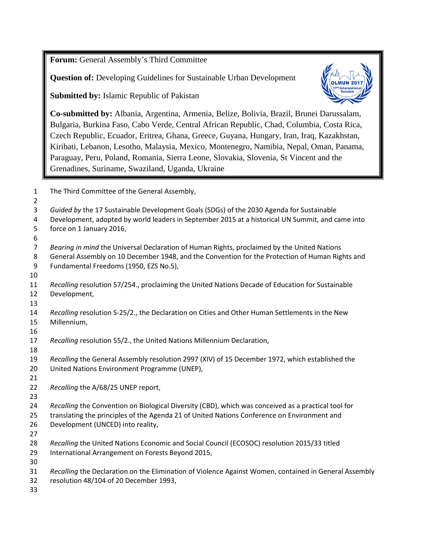**Forum:** General Assembly's Third Committee

**Question of:** Developing Guidelines for Sustainable Urban Development

**Submitted by:** Islamic Republic of Pakistan



**Co-submitted by:** Albania, Argentina, Armenia, Belize, Bolivia, Brazil, Brunei Darussalam, Bulgaria, Burkina Faso, Cabo Verde, Central African Republic, Chad, Columbia, Costa Rica, Czech Republic, Ecuador, Eritrea, Ghana, Greece, Guyana, Hungary, Iran, Iraq, Kazakhstan, Kiribati, Lebanon, Lesotho, Malaysia, Mexico, Montenegro, Namibia, Nepal, Oman, Panama, Paraguay, Peru, Poland, Romania, Sierra Leone, Slovakia, Slovenia, St Vincent and the Grenadines, Suriname, Swaziland, Uganda, Ukraine

The Third Committee of the General Assembly,

*Guided by* the 17 Sustainable Development Goals (SDGs) of the 2030 Agenda for Sustainable

 Development, adopted by world leaders in September 2015 at a historical UN Summit, and came into force on 1 January 2016,

*Bearing in mind* the Universal Declaration of Human Rights, proclaimed by the United Nations

 General Assembly on 10 December 1948, and the Convention for the Protection of Human Rights and Fundamental Freedoms (1950, EZS No.5),

 *Recalling* resolution 57/254., proclaiming the United Nations Decade of Education for Sustainable Development,

 *Recalling* resolution S-25/2., the Declaration on Cities and Other Human Settlements in the New Millennium,

*Recalling* resolution 55/2., the United Nations Millennium Declaration,

 *Recalling* the General Assembly resolution 2997 (XIV) of 15 December 1972, which established the

 United Nations Environment Programme (UNEP), 

*Recalling* the [A/68/25](http://www.un.org/en/ga/search/view_doc.asp?symbol=a/68/25) UNEP report,

*Recalling* the Convention on Biological Diversity (CBD), which was conceived as a practical tool for

translating the principles of the Agenda 21 of United Nations Conference on Environment and

- Development (UNCED) into reality,
- 

 *Recalling* the United Nations Economic and Social Council (ECOSOC) resolution 2015/33 titled International Arrangement on Forests Beyond 2015,

 *Recalling* the Declaration on the Elimination of Violence Against Women, contained in General Assembly resolution 48/104 of 20 December 1993,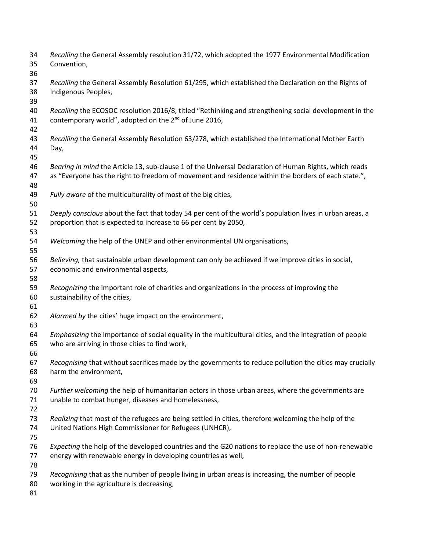| 34<br>35<br>36 | Recalling the General Assembly resolution 31/72, which adopted the 1977 Environmental Modification<br>Convention,                                                           |
|----------------|-----------------------------------------------------------------------------------------------------------------------------------------------------------------------------|
| 37<br>38       | Recalling the General Assembly Resolution 61/295, which established the Declaration on the Rights of<br>Indigenous Peoples,                                                 |
| 39<br>40<br>41 | Recalling the ECOSOC resolution 2016/8, titled "Rethinking and strengthening social development in the<br>contemporary world", adopted on the 2 <sup>nd</sup> of June 2016, |
| 42             |                                                                                                                                                                             |
| 43<br>44<br>45 | Recalling the General Assembly Resolution 63/278, which established the International Mother Earth<br>Day,                                                                  |
| 46             | Bearing in mind the Article 13, sub-clause 1 of the Universal Declaration of Human Rights, which reads                                                                      |
| 47<br>48       | as "Everyone has the right to freedom of movement and residence within the borders of each state.",                                                                         |
| 49<br>50       | Fully aware of the multiculturality of most of the big cities,                                                                                                              |
| 51<br>52<br>53 | Deeply conscious about the fact that today 54 per cent of the world's population lives in urban areas, a<br>proportion that is expected to increase to 66 per cent by 2050, |
| 54<br>55       | Welcoming the help of the UNEP and other environmental UN organisations,                                                                                                    |
| 56<br>57<br>58 | Believing, that sustainable urban development can only be achieved if we improve cities in social,<br>economic and environmental aspects,                                   |
| 59<br>60<br>61 | Recognizing the important role of charities and organizations in the process of improving the<br>sustainability of the cities,                                              |
| 62<br>63       | Alarmed by the cities' huge impact on the environment,                                                                                                                      |
| 64<br>65<br>66 | Emphasizing the importance of social equality in the multicultural cities, and the integration of people<br>who are arriving in those cities to find work,                  |
| 67<br>68<br>69 | Recognising that without sacrifices made by the governments to reduce pollution the cities may crucially<br>harm the environment,                                           |
| 70<br>71       | Further welcoming the help of humanitarian actors in those urban areas, where the governments are<br>unable to combat hunger, diseases and homelessness,                    |
| 72             |                                                                                                                                                                             |
| 73<br>74<br>75 | Realizing that most of the refugees are being settled in cities, therefore welcoming the help of the<br>United Nations High Commissioner for Refugees (UNHCR),              |
| 76             | Expecting the help of the developed countries and the G20 nations to replace the use of non-renewable                                                                       |
| 77<br>78       | energy with renewable energy in developing countries as well,                                                                                                               |
| 79<br>80<br>81 | Recognising that as the number of people living in urban areas is increasing, the number of people<br>working in the agriculture is decreasing,                             |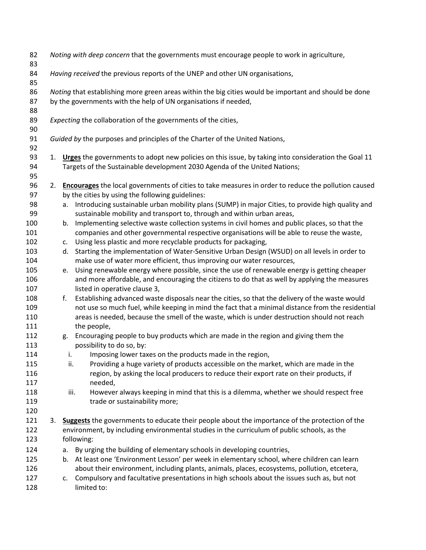| 82<br>83   |    | Noting with deep concern that the governments must encourage people to work in agriculture,                                                                                      |  |  |  |  |
|------------|----|----------------------------------------------------------------------------------------------------------------------------------------------------------------------------------|--|--|--|--|
| 84<br>85   |    | Having received the previous reports of the UNEP and other UN organisations,                                                                                                     |  |  |  |  |
| 86         |    | Noting that establishing more green areas within the big cities would be important and should be done                                                                            |  |  |  |  |
| 87         |    | by the governments with the help of UN organisations if needed,                                                                                                                  |  |  |  |  |
| 88         |    |                                                                                                                                                                                  |  |  |  |  |
| 89         |    | Expecting the collaboration of the governments of the cities,                                                                                                                    |  |  |  |  |
| 90         |    |                                                                                                                                                                                  |  |  |  |  |
| 91         |    | Guided by the purposes and principles of the Charter of the United Nations,                                                                                                      |  |  |  |  |
| 92         |    |                                                                                                                                                                                  |  |  |  |  |
| 93         |    | 1. Urges the governments to adopt new policies on this issue, by taking into consideration the Goal 11                                                                           |  |  |  |  |
| 94         |    | Targets of the Sustainable development 2030 Agenda of the United Nations;                                                                                                        |  |  |  |  |
| 95         |    |                                                                                                                                                                                  |  |  |  |  |
| 96         | 2. | <b>Encourages</b> the local governments of cities to take measures in order to reduce the pollution caused                                                                       |  |  |  |  |
| 97         |    | by the cities by using the following guidelines:                                                                                                                                 |  |  |  |  |
| 98<br>99   |    | Introducing sustainable urban mobility plans (SUMP) in major Cities, to provide high quality and<br>a.<br>sustainable mobility and transport to, through and within urban areas, |  |  |  |  |
| 100        |    | Implementing selective waste collection systems in civil homes and public places, so that the<br>b.                                                                              |  |  |  |  |
| 101        |    | companies and other governmental respective organisations will be able to reuse the waste,                                                                                       |  |  |  |  |
| 102        |    | Using less plastic and more recyclable products for packaging,<br>c.                                                                                                             |  |  |  |  |
| 103        |    | Starting the implementation of Water-Sensitive Urban Design (WSUD) on all levels in order to<br>d.                                                                               |  |  |  |  |
| 104        |    | make use of water more efficient, thus improving our water resources,                                                                                                            |  |  |  |  |
| 105        |    | Using renewable energy where possible, since the use of renewable energy is getting cheaper<br>e.                                                                                |  |  |  |  |
| 106        |    | and more affordable, and encouraging the citizens to do that as well by applying the measures                                                                                    |  |  |  |  |
| 107        |    | listed in operative clause 3,                                                                                                                                                    |  |  |  |  |
| 108        |    | Establishing advanced waste disposals near the cities, so that the delivery of the waste would<br>f.                                                                             |  |  |  |  |
| 109        |    | not use so much fuel, while keeping in mind the fact that a minimal distance from the residential                                                                                |  |  |  |  |
| 110        |    | areas is needed, because the smell of the waste, which is under destruction should not reach                                                                                     |  |  |  |  |
| 111<br>112 |    | the people,                                                                                                                                                                      |  |  |  |  |
| 113        |    | Encouraging people to buy products which are made in the region and giving them the<br>g.<br>possibility to do so, by:                                                           |  |  |  |  |
| 114        |    | Imposing lower taxes on the products made in the region,<br>i.                                                                                                                   |  |  |  |  |
| 115        |    | ii.<br>Providing a huge variety of products accessible on the market, which are made in the                                                                                      |  |  |  |  |
| 116        |    | region, by asking the local producers to reduce their export rate on their products, if                                                                                          |  |  |  |  |
| 117        |    | needed,                                                                                                                                                                          |  |  |  |  |
| 118        |    | However always keeping in mind that this is a dilemma, whether we should respect free<br>iii.                                                                                    |  |  |  |  |
| 119        |    | trade or sustainability more;                                                                                                                                                    |  |  |  |  |
| 120        |    |                                                                                                                                                                                  |  |  |  |  |
| 121        | 3. | <b>Suggests</b> the governments to educate their people about the importance of the protection of the                                                                            |  |  |  |  |
| 122        |    | environment, by including environmental studies in the curriculum of public schools, as the                                                                                      |  |  |  |  |
| 123        |    | following:                                                                                                                                                                       |  |  |  |  |
| 124        |    | By urging the building of elementary schools in developing countries,<br>a.                                                                                                      |  |  |  |  |
| 125        |    | At least one 'Environment Lesson' per week in elementary school, where children can learn<br>b.                                                                                  |  |  |  |  |
| 126        |    | about their environment, including plants, animals, places, ecosystems, pollution, etcetera,                                                                                     |  |  |  |  |
| 127        |    | Compulsory and facultative presentations in high schools about the issues such as, but not<br>c.                                                                                 |  |  |  |  |
| 128        |    | limited to:                                                                                                                                                                      |  |  |  |  |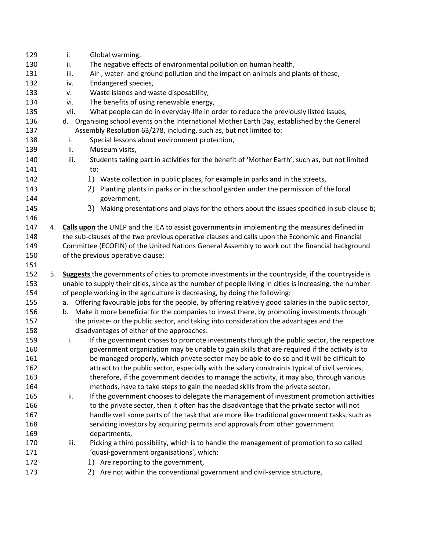| 129        |    | i.<br>Global warming,                                                                                                                                                       |
|------------|----|-----------------------------------------------------------------------------------------------------------------------------------------------------------------------------|
| 130        |    | ii.<br>The negative effects of environmental pollution on human health,                                                                                                     |
| 131        |    | Air-, water- and ground pollution and the impact on animals and plants of these,<br>iii.                                                                                    |
| 132        |    | Endangered species,<br>iv.                                                                                                                                                  |
| 133        |    | Waste islands and waste disposability,<br>٧.                                                                                                                                |
| 134        |    | The benefits of using renewable energy,<br>vi.                                                                                                                              |
| 135        |    | What people can do in everyday-life in order to reduce the previously listed issues,<br>vii.                                                                                |
| 136        |    | Organising school events on the International Mother Earth Day, established by the General<br>d.                                                                            |
| 137        |    | Assembly Resolution 63/278, including, such as, but not limited to:                                                                                                         |
| 138        |    | Special lessons about environment protection,<br>i.                                                                                                                         |
| 139        |    | Museum visits,<br>ii.                                                                                                                                                       |
| 140        |    | Students taking part in activities for the benefit of 'Mother Earth', such as, but not limited<br>iii.                                                                      |
| 141        |    | to:                                                                                                                                                                         |
| 142        |    | 1) Waste collection in public places, for example in parks and in the streets,                                                                                              |
| 143        |    | Planting plants in parks or in the school garden under the permission of the local<br>2)                                                                                    |
| 144        |    | government,                                                                                                                                                                 |
| 145        |    | Making presentations and plays for the others about the issues specified in sub-clause b;<br>3)                                                                             |
| 146        |    |                                                                                                                                                                             |
| 147        |    | 4. Calls upon the UNEP and the IEA to assist governments in implementing the measures defined in                                                                            |
| 148        |    | the sub-clauses of the two previous operative clauses and calls upon the Economic and Financial                                                                             |
| 149        |    | Committee (ECOFIN) of the United Nations General Assembly to work out the financial background                                                                              |
| 150        |    | of the previous operative clause;                                                                                                                                           |
| 151        |    |                                                                                                                                                                             |
| 152        | 5. | Suggests the governments of cities to promote investments in the countryside, if the countryside is                                                                         |
| 153        |    | unable to supply their cities, since as the number of people living in cities is increasing, the number                                                                     |
| 154        |    | of people working in the agriculture is decreasing, by doing the following:                                                                                                 |
| 155        |    | Offering favourable jobs for the people, by offering relatively good salaries in the public sector,<br>a.                                                                   |
| 156        |    | Make it more beneficial for the companies to invest there, by promoting investments through<br>b.                                                                           |
| 157        |    | the private- or the public sector, and taking into consideration the advantages and the                                                                                     |
| 158        |    | disadvantages of either of the approaches:                                                                                                                                  |
| 159        |    | If the government choses to promote investments through the public sector, the respective<br>i.                                                                             |
| 160        |    | government organization may be unable to gain skills that are required if the activity is to                                                                                |
| 161        |    | be managed properly, which private sector may be able to do so and it will be difficult to                                                                                  |
| 162        |    | attract to the public sector, especially with the salary constraints typical of civil services,                                                                             |
| 163        |    | therefore, if the government decides to manage the activity, it may also, through various                                                                                   |
| 164        |    | methods, have to take steps to gain the needed skills from the private sector,                                                                                              |
| 165        |    | If the government chooses to delegate the management of investment promotion activities<br>ii.                                                                              |
| 166<br>167 |    | to the private sector, then it often has the disadvantage that the private sector will not                                                                                  |
| 168        |    | handle well some parts of the task that are more like traditional government tasks, such as<br>servicing investors by acquiring permits and approvals from other government |
| 169        |    | departments,                                                                                                                                                                |
| 170        |    | iii.<br>Picking a third possibility, which is to handle the management of promotion to so called                                                                            |
|            |    |                                                                                                                                                                             |
|            |    |                                                                                                                                                                             |
| 171        |    | 'quasi-government organisations', which:                                                                                                                                    |
| 172<br>173 |    | 1) Are reporting to the government,<br>2) Are not within the conventional government and civil-service structure,                                                           |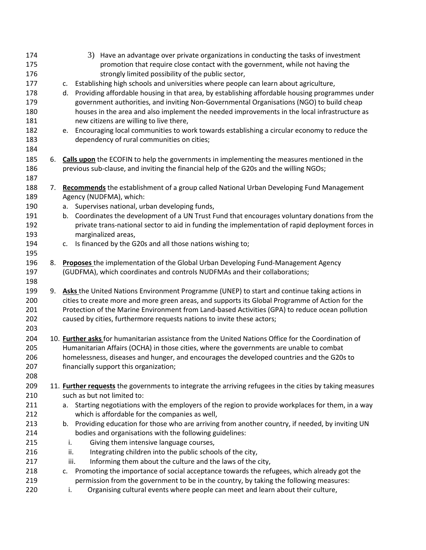| 174 |    | 3) Have an advantage over private organizations in conducting the tasks of investment                    |
|-----|----|----------------------------------------------------------------------------------------------------------|
| 175 |    | promotion that require close contact with the government, while not having the                           |
| 176 |    | strongly limited possibility of the public sector,                                                       |
| 177 |    | Establishing high schools and universities where people can learn about agriculture,<br>c.               |
| 178 |    | Providing affordable housing in that area, by establishing affordable housing programmes under<br>d.     |
| 179 |    | government authorities, and inviting Non-Governmental Organisations (NGO) to build cheap                 |
| 180 |    | houses in the area and also implement the needed improvements in the local infrastructure as             |
| 181 |    | new citizens are willing to live there,                                                                  |
| 182 |    | Encouraging local communities to work towards establishing a circular economy to reduce the<br>e.        |
| 183 |    | dependency of rural communities on cities;                                                               |
| 184 |    |                                                                                                          |
| 185 |    | 6. Calls upon the ECOFIN to help the governments in implementing the measures mentioned in the           |
| 186 |    | previous sub-clause, and inviting the financial help of the G20s and the willing NGOs;                   |
| 187 |    |                                                                                                          |
| 188 | 7. | Recommends the establishment of a group called National Urban Developing Fund Management                 |
| 189 |    | Agency (NUDFMA), which:                                                                                  |
| 190 |    | Supervises national, urban developing funds,<br>a.                                                       |
| 191 |    | Coordinates the development of a UN Trust Fund that encourages voluntary donations from the<br>b.        |
| 192 |    | private trans-national sector to aid in funding the implementation of rapid deployment forces in         |
| 193 |    | marginalized areas,                                                                                      |
| 194 |    | Is financed by the G20s and all those nations wishing to;<br>c.                                          |
| 195 |    |                                                                                                          |
| 196 | 8. | Proposes the implementation of the Global Urban Developing Fund-Management Agency                        |
| 197 |    | (GUDFMA), which coordinates and controls NUDFMAs and their collaborations;                               |
| 198 |    |                                                                                                          |
| 199 |    | 9. Asks the United Nations Environment Programme (UNEP) to start and continue taking actions in          |
| 200 |    | cities to create more and more green areas, and supports its Global Programme of Action for the          |
| 201 |    | Protection of the Marine Environment from Land-based Activities (GPA) to reduce ocean pollution          |
| 202 |    | caused by cities, furthermore requests nations to invite these actors;                                   |
| 203 |    |                                                                                                          |
| 204 |    | 10. Further asks for humanitarian assistance from the United Nations Office for the Coordination of      |
| 205 |    | Humanitarian Affairs (OCHA) in those cities, where the governments are unable to combat                  |
| 206 |    | homelessness, diseases and hunger, and encourages the developed countries and the G20s to                |
| 207 |    | financially support this organization;                                                                   |
| 208 |    |                                                                                                          |
| 209 |    | 11. Further requests the governments to integrate the arriving refugees in the cities by taking measures |
| 210 |    | such as but not limited to:                                                                              |
| 211 |    | Starting negotiations with the employers of the region to provide workplaces for them, in a way<br>а.    |
| 212 |    | which is affordable for the companies as well,                                                           |
| 213 |    | b. Providing education for those who are arriving from another country, if needed, by inviting UN        |
| 214 |    | bodies and organisations with the following guidelines:                                                  |
| 215 |    | Giving them intensive language courses,<br>i.                                                            |
| 216 |    | Integrating children into the public schools of the city,<br>ii.                                         |
| 217 |    | iii.<br>Informing them about the culture and the laws of the city,                                       |
| 218 |    | c. Promoting the importance of social acceptance towards the refugees, which already got the             |
| 219 |    | permission from the government to be in the country, by taking the following measures:                   |
| 220 |    | Organising cultural events where people can meet and learn about their culture,<br>i.                    |